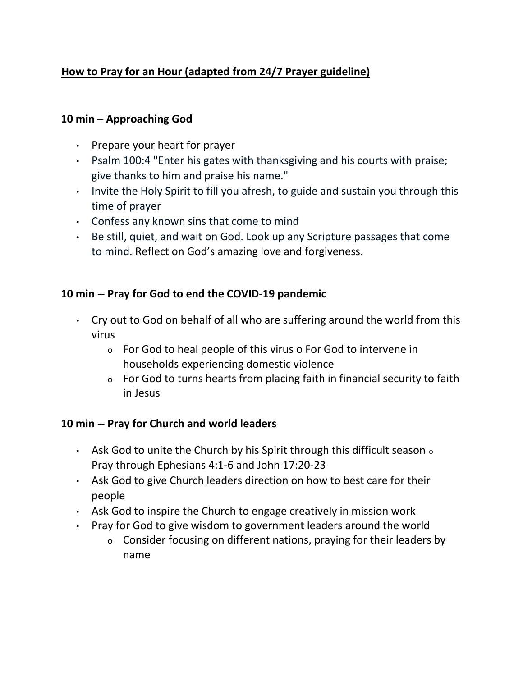# **How to Pray for an Hour (adapted from 24/7 Prayer guideline)**

#### **10 min – Approaching God**

- Prepare your heart for prayer
- Psalm 100:4 "Enter his gates with thanksgiving and his courts with praise; give thanks to him and praise his name."
- Invite the Holy Spirit to fill you afresh, to guide and sustain you through this time of prayer
- Confess any known sins that come to mind
- Be still, quiet, and wait on God. Look up any Scripture passages that come to mind. Reflect on God's amazing love and forgiveness.

### **10 min -- Pray for God to end the COVID-19 pandemic**

- Cry out to God on behalf of all who are suffering around the world from this virus
	- o For God to heal people of this virus o For God to intervene in households experiencing domestic violence
	- o For God to turns hearts from placing faith in financial security to faith in Jesus

#### **10 min -- Pray for Church and world leaders**

- Ask God to unite the Church by his Spirit through this difficult season  $\circ$ Pray through Ephesians 4:1-6 and John 17:20-23
- Ask God to give Church leaders direction on how to best care for their people
- Ask God to inspire the Church to engage creatively in mission work
- Pray for God to give wisdom to government leaders around the world
	- o Consider focusing on different nations, praying for their leaders by name